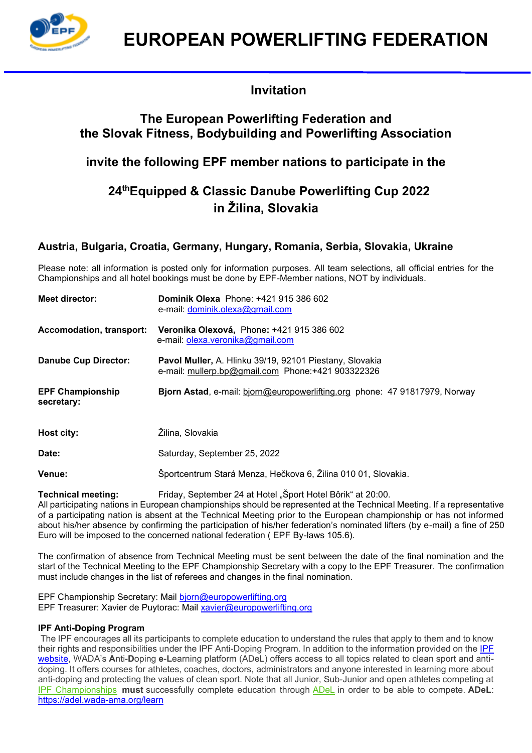

# **Invitation**

## **The European Powerlifting Federation and the Slovak Fitness, Bodybuilding and Powerlifting Association**

# **invite the following EPF member nations to participate in the**

# **24thEquipped & Classic Danube Powerlifting Cup 2022 in Žilina, Slovakia**

## **Austria, Bulgaria, Croatia, Germany, Hungary, Romania, Serbia, Slovakia, Ukraine**

Please note: all information is posted only for information purposes. All team selections, all official entries for the Championships and all hotel bookings must be done by EPF-Member nations, NOT by individuals.

| <b>Meet director:</b>                 | <b>Dominik Olexa</b> Phone: +421 915 386 602<br>e-mail: dominik.olexa@gmail.com                              |  |  |
|---------------------------------------|--------------------------------------------------------------------------------------------------------------|--|--|
| <b>Accomodation, transport:</b>       | Veronika Olexová, Phone: +421 915 386 602<br>e-mail: olexa.veronika@gmail.com                                |  |  |
| <b>Danube Cup Director:</b>           | Pavol Muller, A. Hlinku 39/19, 92101 Piestany, Slovakia<br>e-mail: mullerp.bp@gmail.com Phone:+421 903322326 |  |  |
| <b>EPF Championship</b><br>secretary: | Bjorn Astad, e-mail: bjorn@europowerlifting.org phone: 47 91817979, Norway                                   |  |  |
| Host city:                            | Žilina, Slovakia                                                                                             |  |  |
| Date:                                 | Saturday, September 25, 2022                                                                                 |  |  |
| <b>Venue:</b>                         | Športcentrum Stará Menza, Hečkova 6, Žilina 010 01, Slovakia.                                                |  |  |

**Technical meeting:** Friday, September 24 at Hotel "Sport Hotel Bôrik" at 20:00. All participating nations in European championships should be represented at the Technical Meeting. If a representative of a participating nation is absent at the Technical Meeting prior to the European championship or has not informed about his/her absence by confirming the participation of his/her federation's nominated lifters (by e-mail) a fine of 250 Euro will be imposed to the concerned national federation ( EPF By-laws 105.6).

The confirmation of absence from Technical Meeting must be sent between the date of the final nomination and the start of the Technical Meeting to the EPF Championship Secretary with a copy to the EPF Treasurer. The confirmation must include changes in the list of referees and changes in the final nomination.

EPF Championship Secretary: Mail [bjorn@europowerlifting.org](mailto:bjorn@europowerlifting.org) EPF Treasurer: Xavier de Puytorac: Mail [xavier@europowerlifting.org](mailto:xavier@europowerlifting.org)

### **IPF Anti-Doping Program**

The IPF encourages all its participants to complete education to understand the rules that apply to them and to know their rights and responsibilities under the IPF Anti-Doping Program. In addition to the information provided on the [IPF](https://www.powerlifting.sport/anti-doping/education)  [website](https://www.powerlifting.sport/anti-doping/education), WADA's **A**nti-**D**oping **e**-**L**earning platform (ADeL) offers access to all topics related to clean sport and antidoping. It offers courses for athletes, coaches, doctors, administrators and anyone interested in learning more about anti-doping and protecting the values of clean sport. Note that all Junior, Sub-Junior and open athletes competing at [IPF Championships](https://www.powerlifting.sport/championships/calendar) **must** successfully complete education through [ADeL](https://adel.wada-ama.org/en) in order to be able to compete. **ADeL**: <https://adel.wada-ama.org/learn>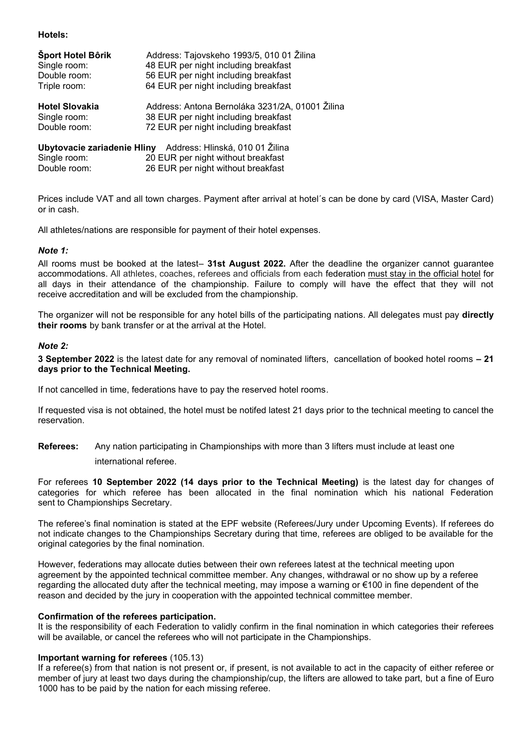#### **Hotels:**

| Šport Hotel Bôrik     | Address: Tajovskeho 1993/5, 010 01 Žilina                   |  |  |  |
|-----------------------|-------------------------------------------------------------|--|--|--|
| Single room:          | 48 EUR per night including breakfast                        |  |  |  |
| Double room:          | 56 EUR per night including breakfast                        |  |  |  |
| Triple room:          | 64 EUR per night including breakfast                        |  |  |  |
| <b>Hotel Slovakia</b> | Address: Antona Bernoláka 3231/2A, 01001 Žilina             |  |  |  |
| Single room:          | 38 EUR per night including breakfast                        |  |  |  |
| Double room:          | 72 EUR per night including breakfast                        |  |  |  |
|                       | Ubytovacie zariadenie Hliny Address: Hlinská, 010 01 Žilina |  |  |  |
| Single room:          | 20 EUR per night without breakfast                          |  |  |  |

Prices include VAT and all town charges. Payment after arrival at hotel´s can be done by card (VISA, Master Card) or in cash.

All athletes/nations are responsible for payment of their hotel expenses.

Double room: 26 EUR per night without breakfast

#### *Note 1:*

All rooms must be booked at the latest– **31st August 2022.** After the deadline the organizer cannot guarantee accommodations. All athletes, coaches, referees and officials from each federation must stay in the official hotel for all days in their attendance of the championship. Failure to comply will have the effect that they will not receive accreditation and will be excluded from the championship.

The organizer will not be responsible for any hotel bills of the participating nations. All delegates must pay **directly their rooms** by bank transfer or at the arrival at the Hotel.

#### *Note 2:*

**3 September 2022** is the latest date for any removal of nominated lifters, cancellation of booked hotel rooms **– 21 days prior to the Technical Meeting.**

If not cancelled in time, federations have to pay the reserved hotel rooms.

If requested visa is not obtained, the hotel must be notifed latest 21 days prior to the technical meeting to cancel the reservation.

**Referees:** Any nation participating in Championships with more than 3 lifters must include at least one international referee.

For referees **10 September 2022 (14 days prior to the Technical Meeting)** is the latest day for changes of categories for which referee has been allocated in the final nomination which his national Federation sent to Championships Secretary.

The referee's final nomination is stated at the EPF website (Referees/Jury under Upcoming Events). If referees do not indicate changes to the Championships Secretary during that time, referees are obliged to be available for the original categories by the final nomination.

However, federations may allocate duties between their own referees latest at the technical meeting upon agreement by the appointed technical committee member. Any changes, withdrawal or no show up by a referee regarding the allocated duty after the technical meeting, may impose a warning or €100 in fine dependent of the reason and decided by the jury in cooperation with the appointed technical committee member.

#### **Confirmation of the referees participation.**

It is the responsibility of each Federation to validly confirm in the final nomination in which categories their referees will be available, or cancel the referees who will not participate in the Championships.

#### **Important warning for referees** (105.13)

If a referee(s) from that nation is not present or, if present, is not available to act in the capacity of either referee or member of jury at least two days during the championship/cup, the lifters are allowed to take part, but a fine of Euro 1000 has to be paid by the nation for each missing referee.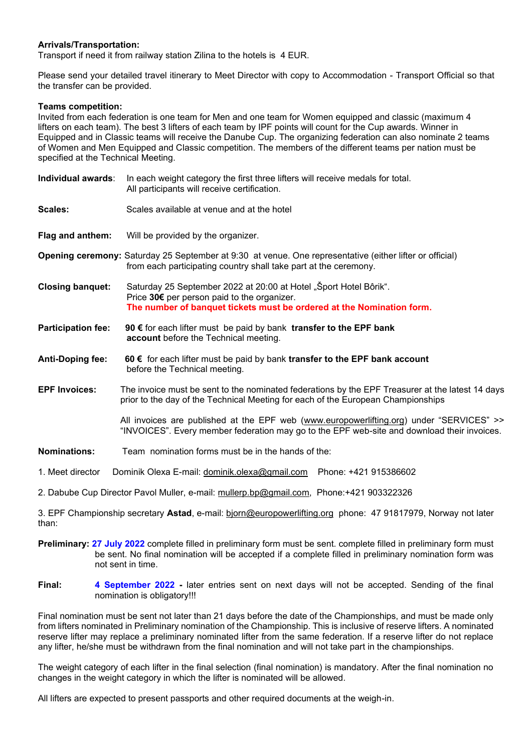#### **Arrivals/Transportation:**

Transport if need it from railway station Zilina to the hotels is 4 EUR.

Please send your detailed travel itinerary to Meet Director with copy to Accommodation - Transport Official so that the transfer can be provided.

#### **Teams competition:**

Invited from each federation is one team for Men and one team for Women equipped and classic (maximum 4 lifters on each team). The best 3 lifters of each team by IPF points will count for the Cup awards. Winner in Equipped and in Classic teams will receive the Danube Cup. The organizing federation can also nominate 2 teams of Women and Men Equipped and Classic competition. The members of the different teams per nation must be specified at the Technical Meeting.

| Individual awards:        | In each weight category the first three lifters will receive medals for total.<br>All participants will receive certification.                                                                      |  |  |  |  |
|---------------------------|-----------------------------------------------------------------------------------------------------------------------------------------------------------------------------------------------------|--|--|--|--|
| Scales:                   | Scales available at venue and at the hotel                                                                                                                                                          |  |  |  |  |
| Flag and anthem:          | Will be provided by the organizer.                                                                                                                                                                  |  |  |  |  |
|                           | Opening ceremony: Saturday 25 September at 9:30 at venue. One representative (either lifter or official)<br>from each participating country shall take part at the ceremony.                        |  |  |  |  |
| <b>Closing banquet:</b>   | Saturday 25 September 2022 at 20:00 at Hotel "Sport Hotel Bôrik".<br>Price $30 \epsilon$ per person paid to the organizer.<br>The number of banquet tickets must be ordered at the Nomination form. |  |  |  |  |
| <b>Participation fee:</b> | 90 € for each lifter must be paid by bank transfer to the EPF bank<br>account before the Technical meeting.                                                                                         |  |  |  |  |
| <b>Anti-Doping fee:</b>   | 60 € for each lifter must be paid by bank transfer to the EPF bank account<br>before the Technical meeting.                                                                                         |  |  |  |  |
| <b>EPF Invoices:</b>      | The invoice must be sent to the nominated federations by the EPF Treasurer at the latest 14 days<br>prior to the day of the Technical Meeting for each of the European Championships                |  |  |  |  |
|                           | All invoices are published at the EPF web (www.europowerlifting.org) under "SERVICES" >><br>"INVOICES". Every member federation may go to the EPF web-site and download their invoices.             |  |  |  |  |
| <b>Nominations:</b>       | Team nomination forms must be in the hands of the:                                                                                                                                                  |  |  |  |  |

1. Meet director Dominik Olexa E-mail: dominik.olexa@gmail.com Phone: +421 915386602

2. Dabube Cup Director Pavol Muller, e-mail: [mullerp.bp@gmail.com,](mailto:mullerp.bp@gmail.com) Phone:+421 903322326

3. EPF Championship secretary **Astad**, e-mail: [bjorn@europowerlifting.org](mailto:bjorn@europowerlifting.org) phone: 47 91817979, Norway not later than:

- **Preliminary: 27 July 2022** complete filled in preliminary form must be sent. complete filled in preliminary form must be sent. No final nomination will be accepted if a complete filled in preliminary nomination form was not sent in time.
- **Final: 4 September 2022 -** later entries sent on next days will not be accepted. Sending of the final nomination is obligatory!!!

Final nomination must be sent not later than 21 days before the date of the Championships, and must be made only from lifters nominated in Preliminary nomination of the Championship. This is inclusive of reserve lifters. A nominated reserve lifter may replace a preliminary nominated lifter from the same federation. If a reserve lifter do not replace any lifter, he/she must be withdrawn from the final nomination and will not take part in the championships.

The weight category of each lifter in the final selection (final nomination) is mandatory. After the final nomination no changes in the weight category in which the lifter is nominated will be allowed*.*

All lifters are expected to present passports and other required documents at the weigh-in.